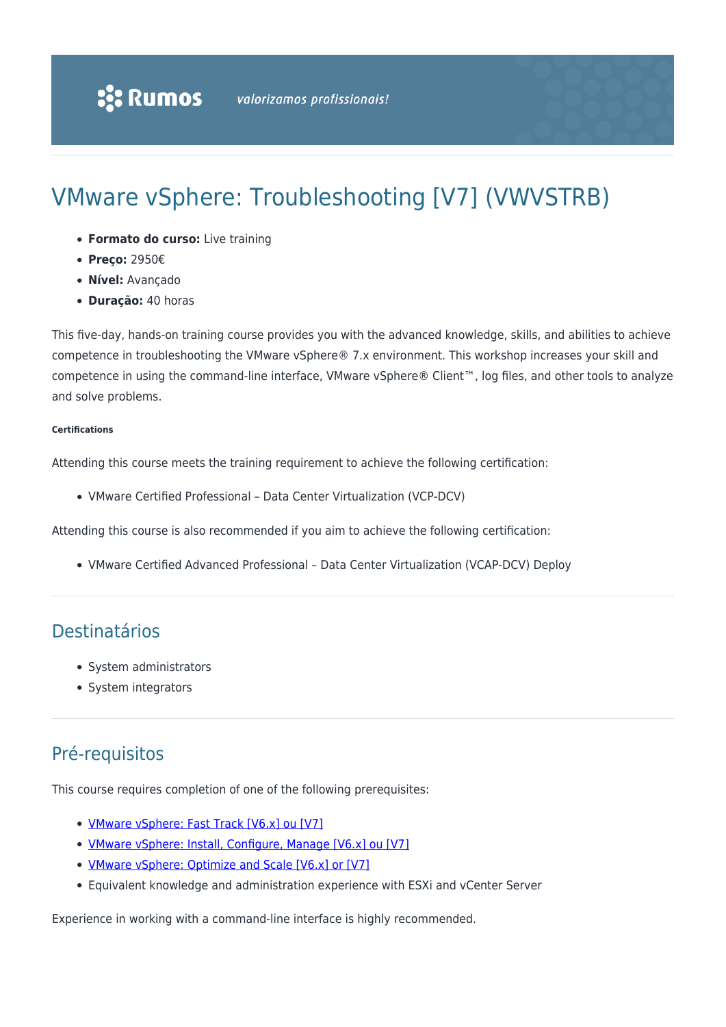# VMware vSphere: Troubleshooting [V7] (VWVSTRB)

- **Formato do curso:** Live training
- **Preço:** 2950€
- **Nível:** Avançado
- **Duração:** 40 horas

This five-day, hands-on training course provides you with the advanced knowledge, skills, and abilities to achieve competence in troubleshooting the VMware vSphere® 7.x environment. This workshop increases your skill and competence in using the command-line interface, VMware vSphere® Client™, log files, and other tools to analyze and solve problems.

#### **Certifications**

Attending this course meets the training requirement to achieve the following certification:

VMware Certified Professional – Data Center Virtualization (VCP-DCV)

Attending this course is also recommended if you aim to achieve the following certification:

VMware Certified Advanced Professional – Data Center Virtualization (VCAP-DCV) Deploy

### Destinatários

- System administrators
- System integrators

## Pré-requisitos

This course requires completion of one of the following prerequisites:

- [VMware vSphere: Fast Track \[V6.x\] ou \[V7\]](https://rumos.pt/curso/vmware-vsphere-fast-track-v7-vwvsft-presencial-com-live-training/)
- [VMware vSphere: Install, Configure, Manage \[V6.x\] ou \[V7\]](https://rumos.pt/curso/vmware-vsphere-install-configure-manage-v7-vwvsicm-presencial-com-live-training/)
- [VMware vSphere: Optimize and Scale \[V6.x\] or \[V7\]](https://rumos.pt/curso/vmware-vsphere-optimize-scale-v7-vwvsos-presencial-com-live-training/)
- Equivalent knowledge and administration experience with ESXi and vCenter Server

Experience in working with a command-line interface is highly recommended.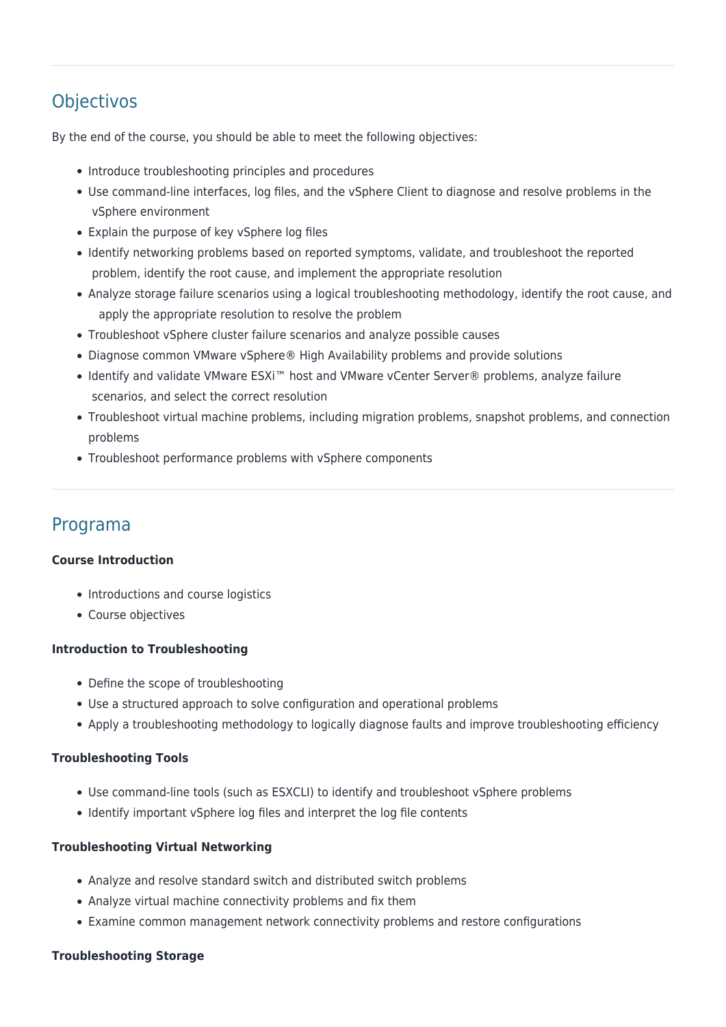# **Objectivos**

By the end of the course, you should be able to meet the following objectives:

- Introduce troubleshooting principles and procedures
- Use command-line interfaces, log files, and the vSphere Client to diagnose and resolve problems in the vSphere environment
- Explain the purpose of key vSphere log files
- Identify networking problems based on reported symptoms, validate, and troubleshoot the reported problem, identify the root cause, and implement the appropriate resolution
- Analyze storage failure scenarios using a logical troubleshooting methodology, identify the root cause, and apply the appropriate resolution to resolve the problem
- Troubleshoot vSphere cluster failure scenarios and analyze possible causes
- Diagnose common VMware vSphere® High Availability problems and provide solutions
- Identify and validate VMware ESXi™ host and VMware vCenter Server® problems, analyze failure scenarios, and select the correct resolution
- Troubleshoot virtual machine problems, including migration problems, snapshot problems, and connection problems
- Troubleshoot performance problems with vSphere components

### Programa

#### **Course Introduction**

- Introductions and course logistics
- Course objectives

#### **Introduction to Troubleshooting**

- Define the scope of troubleshooting
- Use a structured approach to solve configuration and operational problems
- Apply a troubleshooting methodology to logically diagnose faults and improve troubleshooting efficiency

#### **Troubleshooting Tools**

- Use command-line tools (such as ESXCLI) to identify and troubleshoot vSphere problems
- Identify important vSphere log files and interpret the log file contents

#### **Troubleshooting Virtual Networking**

- Analyze and resolve standard switch and distributed switch problems
- Analyze virtual machine connectivity problems and fix them
- Examine common management network connectivity problems and restore configurations

#### **Troubleshooting Storage**